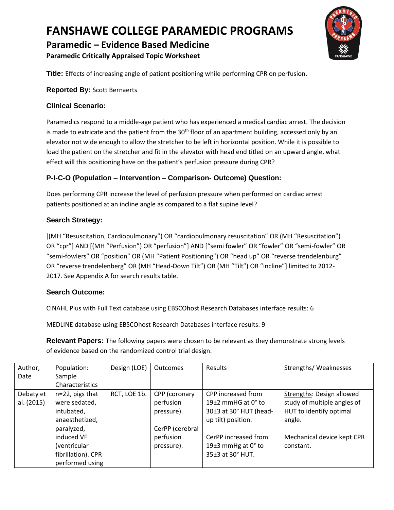### **Paramedic – Evidence Based Medicine**

**Paramedic Critically Appraised Topic Worksheet**



**Title:** Effects of increasing angle of patient positioning while performing CPR on perfusion.

#### **Reported By:** Scott Bernaerts

### **Clinical Scenario:**

Paramedics respond to a middle-age patient who has experienced a medical cardiac arrest. The decision is made to extricate and the patient from the  $30<sup>th</sup>$  floor of an apartment building, accessed only by an elevator not wide enough to allow the stretcher to be left in horizontal position. While it is possible to load the patient on the stretcher and fit in the elevator with head end titled on an upward angle, what effect will this positioning have on the patient's perfusion pressure during CPR?

### **P-I-C-O (Population – Intervention – Comparison- Outcome) Question:**

Does performing CPR increase the level of perfusion pressure when performed on cardiac arrest patients positioned at an incline angle as compared to a flat supine level?

### **Search Strategy:**

[(MH "Resuscitation, Cardiopulmonary") OR "cardiopulmonary resuscitation" OR (MH "Resuscitation") OR "cpr"] AND [(MH "Perfusion") OR "perfusion"] AND ["semi fowler" OR "fowler" OR "semi-fowler" OR "semi-fowlers" OR "position" OR (MH "Patient Positioning") OR "head up" OR "reverse trendelenburg" OR "reverse trendelenberg" OR (MH "Head-Down Tilt") OR (MH "Tilt") OR "incline"] limited to 2012- 2017. See Appendix A for search results table.

#### **Search Outcome:**

CINAHL Plus with Full Text database using EBSCOhost Research Databases interface results: 6

MEDLINE database using EBSCOhost Research Databases interface results: 9

**Relevant Papers:** The following papers were chosen to be relevant as they demonstrate strong levels of evidence based on the randomized control trial design.

| Author,    | Population:        | Design (LOE) | <b>Outcomes</b> | <b>Results</b>                    | Strengths/Weaknesses        |
|------------|--------------------|--------------|-----------------|-----------------------------------|-----------------------------|
| Date       | Sample             |              |                 |                                   |                             |
|            | Characteristics    |              |                 |                                   |                             |
| Debaty et  | n=22, pigs that    | RCT, LOE 1b. | CPP (coronary   | CPP increased from                | Strengths: Design allowed   |
| al. (2015) | were sedated,      |              | perfusion       | 19 $\pm$ 2 mmHG at 0 $\degree$ to | study of multiple angles of |
|            | intubated,         |              | pressure).      | 30±3 at 30° HUT (head-            | HUT to identify optimal     |
|            | anaesthetized,     |              |                 | up tilt) position.                | angle.                      |
|            | paralyzed,         |              | CerPP (cerebral |                                   |                             |
|            | induced VF         |              | perfusion       | CerPP increased from              | Mechanical device kept CPR  |
|            | (ventricular       |              | pressure).      | 19 $\pm$ 3 mmHg at 0 $\degree$ to | constant.                   |
|            | fibrillation). CPR |              |                 | 35±3 at 30° HUT.                  |                             |
|            | performed using    |              |                 |                                   |                             |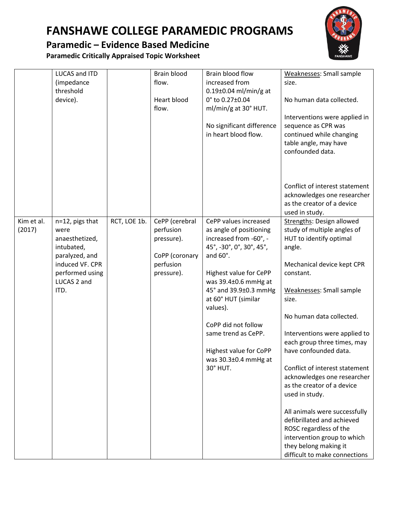### **Paramedic – Evidence Based Medicine**

**Paramedic Critically Appraised Topic Worksheet**



|                      | LUCAS and ITD<br>(impedance<br>threshold<br>device).                                                                                   |              | Brain blood<br>flow.<br>Heart blood<br>flow.                                           | Brain blood flow<br>increased from<br>$0.19\pm0.04$ ml/min/g at<br>0° to 0.27±0.04<br>ml/min/g at 30° HUT.<br>No significant difference<br>in heart blood flow.                                                                                                                                                                              | Weaknesses: Small sample<br>size.<br>No human data collected.<br>Interventions were applied in<br>sequence as CPR was<br>continued while changing<br>table angle, may have<br>confounded data.                                                                                                                                                                                                                                                                                                                                                                                                        |
|----------------------|----------------------------------------------------------------------------------------------------------------------------------------|--------------|----------------------------------------------------------------------------------------|----------------------------------------------------------------------------------------------------------------------------------------------------------------------------------------------------------------------------------------------------------------------------------------------------------------------------------------------|-------------------------------------------------------------------------------------------------------------------------------------------------------------------------------------------------------------------------------------------------------------------------------------------------------------------------------------------------------------------------------------------------------------------------------------------------------------------------------------------------------------------------------------------------------------------------------------------------------|
|                      |                                                                                                                                        |              |                                                                                        |                                                                                                                                                                                                                                                                                                                                              | Conflict of interest statement<br>acknowledges one researcher<br>as the creator of a device<br>used in study.                                                                                                                                                                                                                                                                                                                                                                                                                                                                                         |
| Kim et al.<br>(2017) | n=12, pigs that<br>were<br>anaesthetized,<br>intubated,<br>paralyzed, and<br>induced VF. CPR<br>performed using<br>LUCAS 2 and<br>ITD. | RCT, LOE 1b. | CePP (cerebral<br>perfusion<br>pressure).<br>CoPP (coronary<br>perfusion<br>pressure). | CePP values increased<br>as angle of positioning<br>increased from -60°, -<br>45°, -30°, 0°, 30°, 45°,<br>and 60°.<br>Highest value for CePP<br>was 39.4±0.6 mmHg at<br>45° and 39.9±0.3 mmHg<br>at 60° HUT (similar<br>values).<br>CoPP did not follow<br>same trend as CePP.<br>Highest value for CoPP<br>was 30.3±0.4 mmHg at<br>30° HUT. | Strengths: Design allowed<br>study of multiple angles of<br>HUT to identify optimal<br>angle.<br>Mechanical device kept CPR<br>constant.<br>Weaknesses: Small sample<br>size.<br>No human data collected.<br>Interventions were applied to<br>each group three times, may<br>have confounded data.<br>Conflict of interest statement<br>acknowledges one researcher<br>as the creator of a device<br>used in study.<br>All animals were successfully<br>defibrillated and achieved<br>ROSC regardless of the<br>intervention group to which<br>they belong making it<br>difficult to make connections |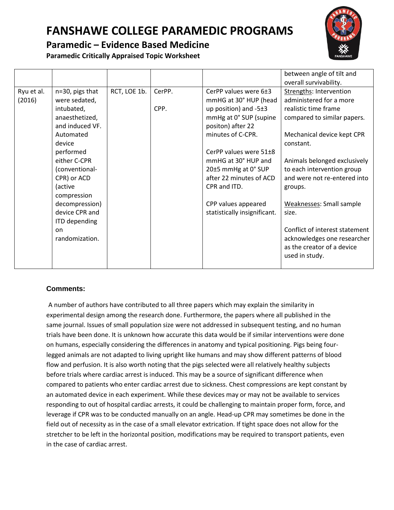### **Paramedic – Evidence Based Medicine**

**Paramedic Critically Appraised Topic Worksheet**

|            |                      |              |        |                              | between angle of tilt and<br>overall survivability.                         |
|------------|----------------------|--------------|--------|------------------------------|-----------------------------------------------------------------------------|
| Ryu et al. | n=30, pigs that      | RCT, LOE 1b. | CerPP. | CerPP values were 6±3        | Strengths: Intervention                                                     |
| (2016)     | were sedated,        |              |        | mmHG at 30° HUP (head        | administered for a more                                                     |
|            | intubated,           |              | CPP.   | up position) and $-5\pm3$    | realistic time frame                                                        |
|            | anaesthetized,       |              |        | mmHg at 0° SUP (supine       | compared to similar papers.                                                 |
|            | and induced VF.      |              |        | positon) after 22            |                                                                             |
|            | Automated            |              |        | minutes of C-CPR.            | Mechanical device kept CPR                                                  |
|            | device               |              |        |                              | constant.                                                                   |
|            | performed            |              |        | CerPP values were 51±8       |                                                                             |
|            | either C-CPR         |              |        | mmHG at 30° HUP and          | Animals belonged exclusively                                                |
|            | (conventional-       |              |        | 20±5 mmHg at 0° SUP          | to each intervention group                                                  |
|            | CPR) or ACD          |              |        | after 22 minutes of ACD      | and were not re-entered into                                                |
|            | (active              |              |        | CPR and ITD.                 | groups.                                                                     |
|            | compression          |              |        |                              |                                                                             |
|            | decompression)       |              |        | CPP values appeared          | Weaknesses: Small sample                                                    |
|            | device CPR and       |              |        | statistically insignificant. | size.                                                                       |
|            | <b>ITD</b> depending |              |        |                              |                                                                             |
|            | on                   |              |        |                              | Conflict of interest statement                                              |
|            | randomization.       |              |        |                              | acknowledges one researcher<br>as the creator of a device<br>used in study. |
|            |                      |              |        |                              |                                                                             |

#### **Comments:**

A number of authors have contributed to all three papers which may explain the similarity in experimental design among the research done. Furthermore, the papers where all published in the same journal. Issues of small population size were not addressed in subsequent testing, and no human trials have been done. It is unknown how accurate this data would be if similar interventions were done on humans, especially considering the differences in anatomy and typical positioning. Pigs being fourlegged animals are not adapted to living upright like humans and may show different patterns of blood flow and perfusion. It is also worth noting that the pigs selected were all relatively healthy subjects before trials where cardiac arrest is induced. This may be a source of significant difference when compared to patients who enter cardiac arrest due to sickness. Chest compressions are kept constant by an automated device in each experiment. While these devices may or may not be available to services responding to out of hospital cardiac arrests, it could be challenging to maintain proper form, force, and leverage if CPR was to be conducted manually on an angle. Head-up CPR may sometimes be done in the field out of necessity as in the case of a small elevator extrication. If tight space does not allow for the stretcher to be left in the horizontal position, modifications may be required to transport patients, even in the case of cardiac arrest.

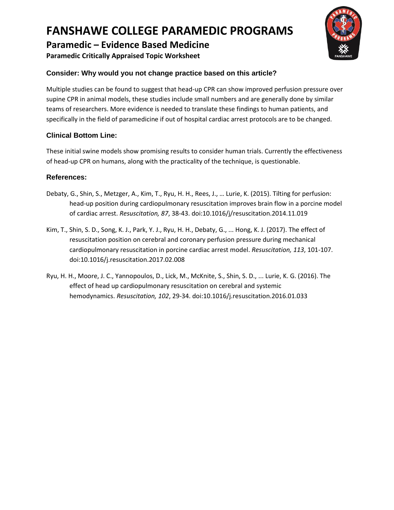### **Paramedic – Evidence Based Medicine**

**Paramedic Critically Appraised Topic Worksheet**

### **Consider: Why would you not change practice based on this article?**

Multiple studies can be found to suggest that head-up CPR can show improved perfusion pressure over supine CPR in animal models, these studies include small numbers and are generally done by similar teams of researchers. More evidence is needed to translate these findings to human patients, and specifically in the field of paramedicine if out of hospital cardiac arrest protocols are to be changed.

### **Clinical Bottom Line:**

These initial swine models show promising results to consider human trials. Currently the effectiveness of head-up CPR on humans, along with the practicality of the technique, is questionable.

#### **References:**

- Debaty, G., Shin, S., Metzger, A., Kim, T., Ryu, H. H., Rees, J., … Lurie, K. (2015). Tilting for perfusion: head-up position during cardiopulmonary resuscitation improves brain flow in a porcine model of cardiac arrest. *Resuscitation, 87*, 38-43. doi:10.1016/j/resuscitation.2014.11.019
- Kim, T., Shin, S. D., Song, K. J., Park, Y. J., Ryu, H. H., Debaty, G., ... Hong, K. J. (2017). The effect of resuscitation position on cerebral and coronary perfusion pressure during mechanical cardiopulmonary resuscitation in porcine cardiac arrest model. *Resuscitation, 113*, 101-107. doi:10.1016/j.resuscitation.2017.02.008
- Ryu, H. H., Moore, J. C., Yannopoulos, D., Lick, M., McKnite, S., Shin, S. D., ... Lurie, K. G. (2016). The effect of head up cardiopulmonary resuscitation on cerebral and systemic hemodynamics. *Resuscitation, 102*, 29-34. doi:10.1016/j.resuscitation.2016.01.033

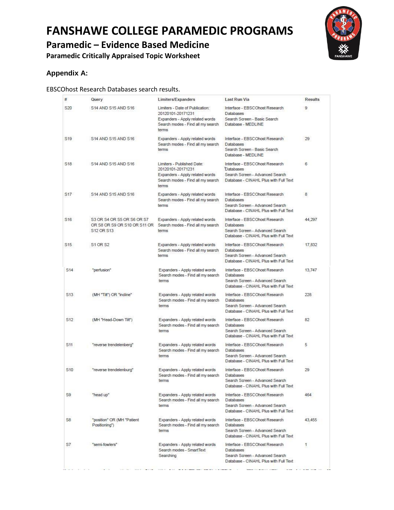**Paramedic – Evidence Based Medicine**

**Paramedic Critically Appraised Topic Worksheet**



### **Appendix A:**

#### EBSCOhost Research Databases search results.

| #               | Query                                                                    | Limiters/Expanders                                                                                                                    | <b>Last Run Via</b>                                                                                                            | <b>Results</b> |
|-----------------|--------------------------------------------------------------------------|---------------------------------------------------------------------------------------------------------------------------------------|--------------------------------------------------------------------------------------------------------------------------------|----------------|
| S20             | S14 AND S15 AND S16                                                      | Limiters - Date of Publication:<br>20120101-20171231<br>Expanders - Apply related words<br>Search modes - Find all my search<br>terms | Interface - FBSCOhost Research<br><b>Databases</b><br>Search Screen - Basic Search<br>Database - MEDLINE                       | 9              |
| S <sub>19</sub> | S14 AND S15 AND S16                                                      | Expanders - Apply related words<br>Search modes - Find all my search<br>terms                                                         | Interface - EBSCOhost Research<br>Databases<br>Search Screen - Basic Search<br>Database - MEDLINE                              | 29             |
| S <sub>18</sub> | S14 AND S15 AND S16                                                      | Limiters - Published Date:<br>20120101-20171231<br>Expanders - Apply related words<br>Search modes - Find all my search<br>terms      | Interface - EBSCOhost Research<br>Databases<br>Search Screen - Advanced Search<br>Database - CINAHL Plus with Full Text        | 6              |
| S17             | S14 AND S15 AND S16                                                      | Expanders - Apply related words<br>Search modes - Find all my search<br>terms                                                         | Interface - EBSCOhost Research<br>Databases<br>Search Screen - Advanced Search<br>Database - CINAHL Plus with Full Text        | 8              |
| S16             | S3 OR S4 OR S5 OR S6 OR S7<br>OR S8 OR S9 OR S10 OR S11 OR<br>S12 OR S13 | Expanders - Apply related words<br>Search modes - Find all my search<br>terms                                                         | Interface - EBSCOhost Research<br>Databases<br>Search Screen - Advanced Search<br>Database - CINAHL Plus with Full Text        | 44,297         |
| S <sub>15</sub> | S1 OR S2                                                                 | Expanders - Apply related words<br>Search modes - Find all my search<br>terms                                                         | Interface - EBSCOhost Research<br>Databases<br>Search Screen - Advanced Search<br>Database - CINAHL Plus with Full Text        | 17,832         |
| S <sub>14</sub> | "perfusion"                                                              | Expanders - Apply related words<br>Search modes - Find all my search<br>terms                                                         | Interface - EBSCOhost Research<br>Databases<br>Search Screen - Advanced Search<br>Database - CINAHL Plus with Full Text        | 13,747         |
| S <sub>13</sub> | (MH "Tilt") OR "incline"                                                 | Expanders - Apply related words<br>Search modes - Find all my search<br>terms                                                         | Interface - EBSCOhost Research<br><b>Databases</b><br>Search Screen - Advanced Search<br>Database - CINAHL Plus with Full Text | 228            |
| S <sub>12</sub> | (MH "Head-Down Tilt")                                                    | Expanders - Apply related words<br>Search modes - Find all my search<br>terms                                                         | Interface - EBSCOhost Research<br><b>Databases</b><br>Search Screen - Advanced Search<br>Database - CINAHL Plus with Full Text | 82             |
| S11             | "reverse trendelenberg"                                                  | Expanders - Apply related words<br>Search modes - Find all my search<br>terms                                                         | Interface - EBSCOhost Research<br>Databases<br>Search Screen - Advanced Search<br>Database - CINAHL Plus with Full Text        | 5              |
| S <sub>10</sub> | "reverse trendelenburg"                                                  | Expanders - Apply related words<br>Search modes - Find all my search<br>terms                                                         | Interface - EBSCOhost Research<br>Databases<br>Search Screen - Advanced Search<br>Database - CINAHL Plus with Full Text        | 29             |
| S9              | "head up"                                                                | Expanders - Apply related words<br>Search modes - Find all my search<br>terms                                                         | Interface - EBSCOhost Research<br>Databases<br>Search Screen - Advanced Search<br>Database - CINAHL Plus with Full Text        | 464            |
| S <sub>8</sub>  | "position" OR (MH "Patient<br>Positioning")                              | Expanders - Apply related words<br>Search modes - Find all my search<br>terms                                                         | Interface - EBSCOhost Research<br>Databases<br>Search Screen - Advanced Search<br>Database - CINAHL Plus with Full Text        | 43,455         |
| S7              | "semi-fowlers"                                                           | Expanders - Apply related words<br>Search modes - SmartText<br>Searching                                                              | Interface - EBSCOhost Research<br>Databases<br>Search Screen - Advanced Search<br>Database - CINAHL Plus with Full Text        | 1              |